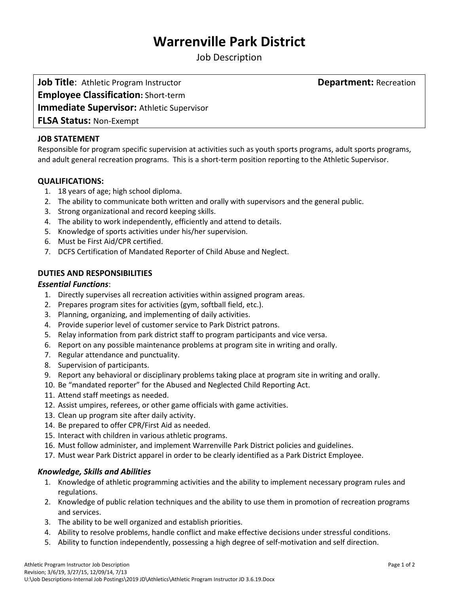# **Warrenville Park District**

Job Description

**Job Title:** Athletic Program Instructor **Department:** Recreation **Employee Classification:** Short-term **Immediate Supervisor:** Athletic Supervisor **FLSA Status:** Non-Exempt

## **JOB STATEMENT**

Responsible for program specific supervision at activities such as youth sports programs, adult sports programs, and adult general recreation programs. This is a short-term position reporting to the Athletic Supervisor.

# **QUALIFICATIONS:**

- 1. 18 years of age; high school diploma.
- 2. The ability to communicate both written and orally with supervisors and the general public.
- 3. Strong organizational and record keeping skills.
- 4. The ability to work independently, efficiently and attend to details.
- 5. Knowledge of sports activities under his/her supervision.
- 6. Must be First Aid/CPR certified.
- 7. DCFS Certification of Mandated Reporter of Child Abuse and Neglect.

# **DUTIES AND RESPONSIBILITIES**

#### *Essential Functions*:

- 1. Directly supervises all recreation activities within assigned program areas.
- 2. Prepares program sites for activities (gym, softball field, etc.).
- 3. Planning, organizing, and implementing of daily activities.
- 4. Provide superior level of customer service to Park District patrons.
- 5. Relay information from park district staff to program participants and vice versa.
- 6. Report on any possible maintenance problems at program site in writing and orally.
- 7. Regular attendance and punctuality.
- 8. Supervision of participants.
- 9. Report any behavioral or disciplinary problems taking place at program site in writing and orally.
- 10. Be "mandated reporter" for the Abused and Neglected Child Reporting Act.
- 11. Attend staff meetings as needed.
- 12. Assist umpires, referees, or other game officials with game activities.
- 13. Clean up program site after daily activity.
- 14. Be prepared to offer CPR/First Aid as needed.
- 15. Interact with children in various athletic programs.
- 16. Must follow administer, and implement Warrenville Park District policies and guidelines.
- 17. Must wear Park District apparel in order to be clearly identified as a Park District Employee.

#### *Knowledge, Skills and Abilities*

- 1. Knowledge of athletic programming activities and the ability to implement necessary program rules and regulations.
- 2. Knowledge of public relation techniques and the ability to use them in promotion of recreation programs and services.
- 3. The ability to be well organized and establish priorities.
- 4. Ability to resolve problems, handle conflict and make effective decisions under stressful conditions.
- 5. Ability to function independently, possessing a high degree of self-motivation and self direction.